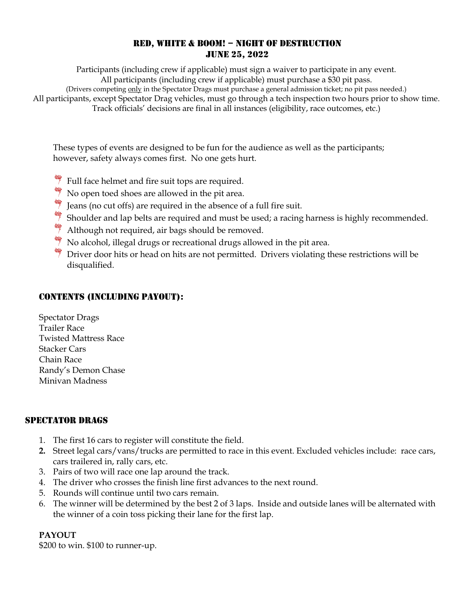## RED, WHITE & BOOM! – NIGHT OF DESTRUCTION JUNE 25, 2022

Participants (including crew if applicable) must sign a waiver to participate in any event. All participants (including crew if applicable) must purchase a \$30 pit pass. (Drivers competing only in the Spectator Drags must purchase a general admission ticket; no pit pass needed.) All participants, except Spectator Drag vehicles, must go through a tech inspection two hours prior to show time. Track officials' decisions are final in all instances (eligibility, race outcomes, etc.)

These types of events are designed to be fun for the audience as well as the participants; however, safety always comes first. No one gets hurt.

- $\frac{4}{3}$  Full face helmet and fire suit tops are required.
- $\frac{4}{3}$  No open toed shoes are allowed in the pit area.
- **Jeans (no cut offs) are required in the absence of a full fire suit.**
- Shoulder and lap belts are required and must be used; a racing harness is highly recommended.
- $\frac{4}{3}$  Although not required, air bags should be removed.
- No alcohol, illegal drugs or recreational drugs allowed in the pit area.
- $\frac{1}{\sqrt{2}}$  Driver door hits or head on hits are not permitted. Drivers violating these restrictions will be disqualified.

# CONTENTS (INCLUDING PAYOUT):

Spectator Drags Trailer Race Twisted Mattress Race Stacker Cars Chain Race Randy's Demon Chase Minivan Madness

## SPECTATOR DRAGS

- 1. The first 16 cars to register will constitute the field.
- **2.** Street legal cars/vans/trucks are permitted to race in this event. Excluded vehicles include: race cars, cars trailered in, rally cars, etc.
- 3. Pairs of two will race one lap around the track.
- 4. The driver who crosses the finish line first advances to the next round.
- 5. Rounds will continue until two cars remain.
- 6. The winner will be determined by the best 2 of 3 laps. Inside and outside lanes will be alternated with the winner of a coin toss picking their lane for the first lap.

## **PAYOUT**

\$200 to win. \$100 to runner-up.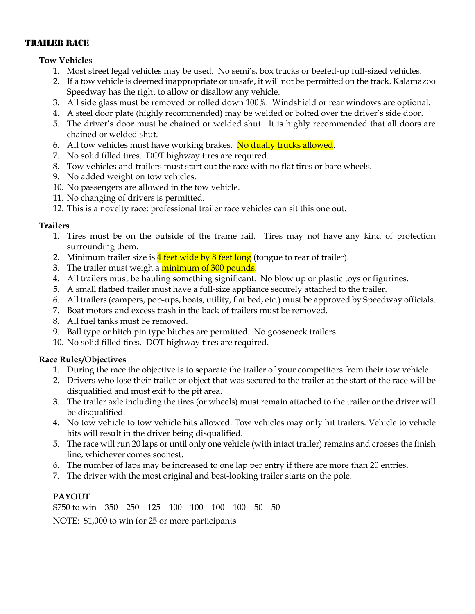#### TRAILER RACE

#### **Tow Vehicles**

- 1. Most street legal vehicles may be used. No semi's, box trucks or beefed-up full-sized vehicles.
- 2. If a tow vehicle is deemed inappropriate or unsafe, it will not be permitted on the track. Kalamazoo Speedway has the right to allow or disallow any vehicle.
- 3. All side glass must be removed or rolled down 100%. Windshield or rear windows are optional.
- 4. A steel door plate (highly recommended) may be welded or bolted over the driver's side door.
- 5. The driver's door must be chained or welded shut. It is highly recommended that all doors are chained or welded shut.
- 6. All tow vehicles must have working brakes. No dually trucks allowed.
- 7. No solid filled tires. DOT highway tires are required.
- 8. Tow vehicles and trailers must start out the race with no flat tires or bare wheels.
- 9. No added weight on tow vehicles.
- 10. No passengers are allowed in the tow vehicle.
- 11. No changing of drivers is permitted.
- 12. This is a novelty race; professional trailer race vehicles can sit this one out.

#### **Trailers**

- 1. Tires must be on the outside of the frame rail. Tires may not have any kind of protection surrounding them.
- 2. Minimum trailer size is  $\frac{4 \text{ feet wide by 8 feet long}}{4 \text{ feet at long}}$  (tongue to rear of trailer).
- 3. The trailer must weigh a minimum of 300 pounds.
- 4. All trailers must be hauling something significant. No blow up or plastic toys or figurines.
- 5. A small flatbed trailer must have a full-size appliance securely attached to the trailer.
- 6. All trailers (campers, pop-ups, boats, utility, flat bed, etc.) must be approved by Speedway officials.
- 7. Boat motors and excess trash in the back of trailers must be removed.
- 8. All fuel tanks must be removed.
- 9. Ball type or hitch pin type hitches are permitted. No gooseneck trailers.
- 10. No solid filled tires. DOT highway tires are required.

## **Race Rules/Objectives**

- 1. During the race the objective is to separate the trailer of your competitors from their tow vehicle.
- 2. Drivers who lose their trailer or object that was secured to the trailer at the start of the race will be disqualified and must exit to the pit area.
- 3. The trailer axle including the tires (or wheels) must remain attached to the trailer or the driver will be disqualified.
- 4. No tow vehicle to tow vehicle hits allowed. Tow vehicles may only hit trailers. Vehicle to vehicle hits will result in the driver being disqualified.
- 5. The race will run 20 laps or until only one vehicle (with intact trailer) remains and crosses the finish line, whichever comes soonest.
- 6. The number of laps may be increased to one lap per entry if there are more than 20 entries.
- 7. The driver with the most original and best-looking trailer starts on the pole.

## **PAYOUT**

\$750 to win – 350 – 250 – 125 – 100 – 100 – 100 – 100 – 50 – 50

NOTE: \$1,000 to win for 25 or more participants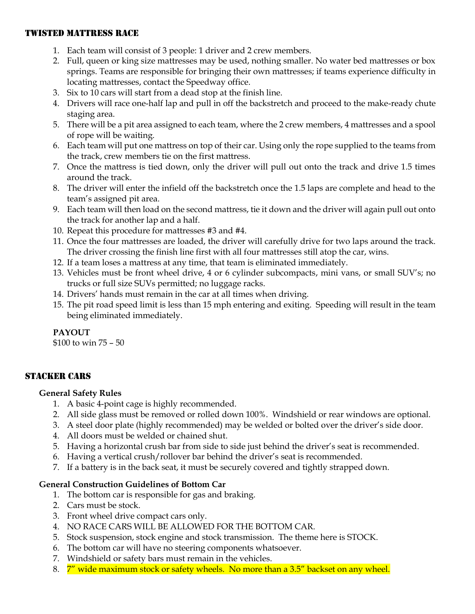#### TWISTED MATTRESS RACE

- 1. Each team will consist of 3 people: 1 driver and 2 crew members.
- 2. Full, queen or king size mattresses may be used, nothing smaller. No water bed mattresses or box springs. Teams are responsible for bringing their own mattresses; if teams experience difficulty in locating mattresses, contact the Speedway office.
- 3. Six to 10 cars will start from a dead stop at the finish line.
- 4. Drivers will race one-half lap and pull in off the backstretch and proceed to the make-ready chute staging area.
- 5. There will be a pit area assigned to each team, where the 2 crew members, 4 mattresses and a spool of rope will be waiting.
- 6. Each team will put one mattress on top of their car. Using only the rope supplied to the teams from the track, crew members tie on the first mattress.
- 7. Once the mattress is tied down, only the driver will pull out onto the track and drive 1.5 times around the track.
- 8. The driver will enter the infield off the backstretch once the 1.5 laps are complete and head to the team's assigned pit area.
- 9. Each team will then load on the second mattress, tie it down and the driver will again pull out onto the track for another lap and a half.
- 10. Repeat this procedure for mattresses #3 and #4.
- 11. Once the four mattresses are loaded, the driver will carefully drive for two laps around the track. The driver crossing the finish line first with all four mattresses still atop the car, wins.
- 12. If a team loses a mattress at any time, that team is eliminated immediately.
- 13. Vehicles must be front wheel drive, 4 or 6 cylinder subcompacts, mini vans, or small SUV's; no trucks or full size SUVs permitted; no luggage racks.
- 14. Drivers' hands must remain in the car at all times when driving.
- 15. The pit road speed limit is less than 15 mph entering and exiting. Speeding will result in the team being eliminated immediately.

## **PAYOUT**

\$100 to win 75 – 50

## STACKER CARS

#### **General Safety Rules**

- 1. A basic 4-point cage is highly recommended.
- 2. All side glass must be removed or rolled down 100%. Windshield or rear windows are optional.
- 3. A steel door plate (highly recommended) may be welded or bolted over the driver's side door.
- 4. All doors must be welded or chained shut.
- 5. Having a horizontal crush bar from side to side just behind the driver's seat is recommended.
- 6. Having a vertical crush/rollover bar behind the driver's seat is recommended.
- 7. If a battery is in the back seat, it must be securely covered and tightly strapped down.

## **General Construction Guidelines of Bottom Car**

- 1. The bottom car is responsible for gas and braking.
- 2. Cars must be stock.
- 3. Front wheel drive compact cars only.
- 4. NO RACE CARS WILL BE ALLOWED FOR THE BOTTOM CAR.
- 5. Stock suspension, stock engine and stock transmission. The theme here is STOCK.
- 6. The bottom car will have no steering components whatsoever.
- 7. Windshield or safety bars must remain in the vehicles.
- 8. 7<sup>"</sup> wide maximum stock or safety wheels. No more than a 3.5" backset on any wheel.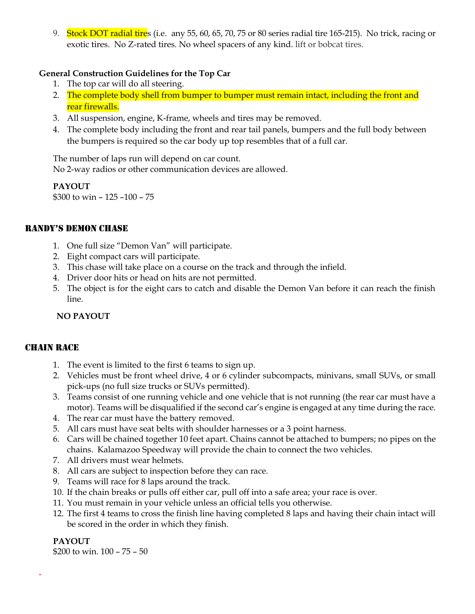9. Stock DOT radial tires (i.e. any 55, 60, 65, 70, 75 or 80 series radial tire 165-215). No trick, racing or exotic tires. No Z-rated tires. No wheel spacers of any kind. lift or bobcat tires.

#### **General Construction Guidelines for the Top Car**

- 1. The top car will do all steering.
- 2. The complete body shell from bumper to bumper must remain intact, including the front and rear firewalls.
- 3. All suspension, engine, K-frame, wheels and tires may be removed.
- 4. The complete body including the front and rear tail panels, bumpers and the full body between the bumpers is required so the car body up top resembles that of a full car.

The number of laps run will depend on car count.

No 2-way radios or other communication devices are allowed.

**PAYOUT** \$300 to win – 125 –100 – 75

## RANDY'S DEMON CHASE

- 1. One full size "Demon Van" will participate.
- 2. Eight compact cars will participate.
- 3. This chase will take place on a course on the track and through the infield.
- 4. Driver door hits or head on hits are not permitted.
- 5. The object is for the eight cars to catch and disable the Demon Van before it can reach the finish line.

## **NO PAYOUT**

#### CHAIN RACE

- 1. The event is limited to the first 6 teams to sign up.
- 2. Vehicles must be front wheel drive, 4 or 6 cylinder subcompacts, minivans, small SUVs, or small pick-ups (no full size trucks or SUVs permitted).
- 3. Teams consist of one running vehicle and one vehicle that is not running (the rear car must have a motor). Teams will be disqualified if the second car's engine is engaged at any time during the race.
- 4. The rear car must have the battery removed.
- 5. All cars must have seat belts with shoulder harnesses or a 3 point harness.
- 6. Cars will be chained together 10 feet apart. Chains cannot be attached to bumpers; no pipes on the chains. Kalamazoo Speedway will provide the chain to connect the two vehicles.
- 7. All drivers must wear helmets.
- 8. All cars are subject to inspection before they can race.
- 9. Teams will race for 8 laps around the track.
- 10. If the chain breaks or pulls off either car, pull off into a safe area; your race is over.
- 11. You must remain in your vehicle unless an official tells you otherwise.
- 12. The first 4 teams to cross the finish line having completed 8 laps and having their chain intact will be scored in the order in which they finish.

## **PAYOUT**

**.**

\$200 to win. 100 – 75 – 50